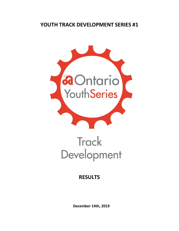## **YOUTH TRACK DEVELOPMENT SERIES #1**



## **Track** Development

## **RESULTS**

**December 14th, 2019**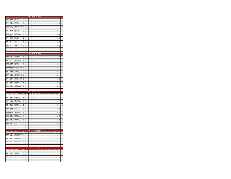|                                |                    |                                            |               | 19 18           |  |                 |             |   |                |                 |                |             |                |             |             |        |                          |           |                                                          |                         |                                    |
|--------------------------------|--------------------|--------------------------------------------|---------------|-----------------|--|-----------------|-------------|---|----------------|-----------------|----------------|-------------|----------------|-------------|-------------|--------|--------------------------|-----------|----------------------------------------------------------|-------------------------|------------------------------------|
| Leonard                        | Michael            | Racer Sportif                              | 107           |                 |  |                 |             |   |                |                 |                |             |                |             |             |        |                          |           | 7                                                        |                         |                                    |
| Carter                         | Grant              | Independent                                | 103           |                 |  |                 |             |   |                |                 |                |             |                |             |             |        |                          |           | á.                                                       |                         |                                    |
| MacEwen                        | Finlay             | Attack Racing                              | 108           |                 |  |                 |             | ı |                |                 |                |             |                | í           |             |        |                          |           | $\overline{2}$                                           |                         |                                    |
| Scott                          | Andrew             | Midweek Cycling                            | 117           |                 |  |                 |             |   |                |                 |                |             |                |             |             |        |                          |           | $\overline{2}$                                           | 19                      |                                    |
| Mattern                        | Carson             | Independent                                | 111           |                 |  |                 |             |   |                |                 |                |             |                |             |             |        |                          |           | 2                                                        | 21                      |                                    |
| Szemeczko                      | Evan               | KW Cycling Academy                         | 119           |                 |  |                 |             |   |                |                 |                |             |                |             |             |        |                          |           | 1                                                        |                         |                                    |
| Bergeron                       | Charles            | <b>NCCH</b>                                | 101           |                 |  |                 |             |   |                |                 |                |             |                |             |             |        |                          |           |                                                          |                         |                                    |
| Desgagnes Adele                |                    | Quebecor Stingray                          | 104           |                 |  |                 |             |   |                |                 |                |             |                |             |             |        |                          |           | $\overline{1}$                                           | $\overline{Q}$          |                                    |
| Roberts                        | Nicholas           | <b>Edge Cycling</b>                        | 115           |                 |  |                 |             |   |                |                 |                |             |                |             |             |        |                          |           | $\circ$                                                  | 6                       | ś                                  |
| Valenti                        | Luke               | Ride with Ryan                             | 122           |                 |  |                 |             |   |                |                 |                |             |                |             |             |        |                          |           | $\circ$                                                  |                         | 10                                 |
| Tompkins                       | Patrick            | <b>Attack Racing</b>                       | 120           |                 |  |                 |             |   |                |                 |                |             |                |             |             |        |                          |           | ٥                                                        | 8                       | 11                                 |
| Olejniczak                     | David              | Milton Revolu                              | 112           |                 |  |                 |             |   |                |                 |                |             |                |             |             |        |                          |           | $\circ$                                                  | 10                      | $\overline{12}$                    |
| Elliott-Cordi                  | Andres             | Neworld Cycle Tea                          | 136           |                 |  |                 |             |   |                |                 |                |             |                |             |             |        |                          |           | o                                                        | $\overline{11}$         | 13                                 |
| Martin                         | Nathan             | Independent                                | 110           |                 |  |                 |             |   |                |                 |                |             |                |             |             |        |                          |           | $\circ$                                                  | 12                      | 14                                 |
| Stein                          | Dakota             | <b>Edge Cycling</b>                        | 118           |                 |  |                 |             |   |                |                 |                |             |                |             |             |        |                          |           | $\circ$                                                  | 13                      | 15                                 |
| Tremblay                       | Marc-A             | VO2 Blackburn                              | 121           |                 |  |                 |             |   |                |                 |                |             |                |             |             |        |                          |           | $\circ$                                                  | $\overline{1}$          | 16                                 |
| Reinke                         | lan                | <b>NCCH</b>                                | 114           |                 |  |                 |             |   |                |                 |                |             |                |             |             |        |                          |           | o                                                        | 15                      | $\overline{1}$                     |
| Rauwerda                       | Lucas              | <b>NCCH</b>                                | 113           |                 |  |                 |             |   |                |                 |                |             |                |             |             |        |                          |           | $\overline{0}$                                           | 16                      | 18                                 |
| Rorks                          | Tyle               | KW Cycling Academy                         | 116           |                 |  |                 |             |   |                |                 |                |             |                |             |             |        |                          |           | $\mathfrak{o}$                                           | 17                      | 19                                 |
| Gabelier                       | Iris               | Dynamiks                                   | 105           |                 |  |                 |             |   |                |                 |                |             |                |             |             |        |                          |           | $\circ$                                                  | 18                      | $\alpha$                           |
| MacEwen                        | Bene               | <b>Attack Racing</b>                       | 109           |                 |  |                 |             |   |                |                 |                |             |                |             |             |        |                          |           | o                                                        | $\overline{\mathbf{z}}$ | $_{21}$                            |
|                                | Luca               | Independen                                 | 102           |                 |  |                 |             |   |                |                 |                |             |                |             |             |        |                          |           |                                                          | 0 DNS                   | DNS                                |
|                                |                    |                                            |               |                 |  |                 |             |   |                |                 |                |             |                |             |             |        |                          |           |                                                          |                         |                                    |
|                                |                    |                                            |               |                 |  |                 |             |   |                |                 |                |             |                |             |             |        |                          |           |                                                          |                         |                                    |
|                                |                    |                                            |               |                 |  |                 |             |   |                |                 |                |             |                |             |             |        |                          |           |                                                          |                         |                                    |
|                                |                    |                                            |               |                 |  |                 |             |   |                |                 |                |             |                |             |             |        |                          |           |                                                          |                         |                                    |
| Last Name First Na             |                    | ne Affiliates                              | Bib           | <b>Contract</b> |  |                 |             |   |                |                 |                |             |                |             |             |        |                          |           | 15 14 13 12 11 10 9 8 7 6 5 4 3 2 1 0 Total Finish Final |                         |                                    |
| Dempster Cole                  |                    | Midweek Cycling                            | 134           |                 |  |                 |             |   |                |                 | $\overline{1}$ | $\,$ 1 $\,$ | $\,$ 1 $\,$    | $1\quad1$   | $\,$ 1 $\,$ | $\,$ 1 |                          |           | $\overline{7}$                                           | 13                      |                                    |
| Evans                          | Jacob              | Gotham Cyclists                            | 138           |                 |  |                 |             |   |                |                 |                |             |                |             |             |        |                          |           | $\overline{\mathbf{3}}$                                  | ż                       |                                    |
| Koocha                         | Lewis              | <b>Startrack Racing</b>                    | 141           |                 |  |                 |             |   |                |                 |                |             |                |             |             |        |                          |           | $\overline{2}$                                           | $\overline{1}$          |                                    |
| Ogryzic                        | Eric               | Cyclepath Oakvill                          | 148           |                 |  |                 |             |   |                |                 |                |             |                |             |             |        |                          |           | 2                                                        |                         |                                    |
| Jacob                          | Philippe           | <b>CNCB BOLT</b>                           | 106           |                 |  |                 |             |   |                |                 |                |             |                |             |             |        |                          |           | $\overline{1}$                                           |                         |                                    |
| Cauchon                        | Britanic           | Makadence                                  | 132           |                 |  |                 |             |   |                |                 |                |             |                |             |             |        |                          |           | $\overline{1}$                                           | 8                       |                                    |
| <b>Raderty</b>                 | <b>Natasha</b>     | Indenendent                                | 131           |                 |  |                 |             |   |                |                 |                |             |                |             |             |        |                          |           | $\alpha$                                                 |                         |                                    |
| Elliott-Cordi                  | Andres             | Neworld Cycle Te:                          | 136           |                 |  |                 |             |   |                |                 |                |             |                |             |             |        |                          |           | o                                                        |                         | ś                                  |
| Elliott-Cordi                  | Alejandra          | Neworld Cycle Tea                          | 135           |                 |  |                 |             |   |                |                 |                |             |                |             |             |        |                          |           | $\circ$                                                  | é                       | ś                                  |
| Watson                         |                    | Midweek Cycling                            | 152           |                 |  |                 |             |   |                |                 |                |             |                |             |             |        |                          |           | $\circ$                                                  |                         | $\mathbf{R}$                       |
|                                | Mackenzie          |                                            |               |                 |  |                 |             |   |                |                 |                |             |                |             |             |        |                          |           |                                                          | 8                       |                                    |
| Coope<br>Ellyatt               | loshua<br>Andrew   | Attack Racing<br>Attack Racing             | 133<br>137    |                 |  |                 |             |   |                |                 |                |             |                |             |             |        |                          |           | $\overline{0}$<br>$\circ$                                | 8                       | $\overline{11}$<br>$\overline{11}$ |
| Gabelier                       | Eva                | Dynamiks de Contreo                        | 139           |                 |  |                 |             |   |                |                 |                |             |                |             |             |        |                          |           | $\circ$                                                  | 8                       | $\overline{11}$                    |
|                                |                    |                                            |               |                 |  |                 |             |   |                |                 |                |             |                |             |             |        |                          |           |                                                          |                         |                                    |
| Levesque                       | Coralie            | Équipe Québecor Stir                       | 144           |                 |  |                 |             |   |                |                 |                |             |                |             |             |        |                          |           | ٥                                                        | ź                       | $\overline{11}$                    |
| Stel                           | locelyn            | Giant Toronto pb Liv                       | 150           |                 |  |                 |             |   |                |                 |                |             |                |             |             |        |                          |           | $\circ$                                                  | g                       | 11                                 |
| Zouev                          | <b>Simon</b>       | Win Cycling Centre                         | 153           |                 |  |                 |             |   |                |                 |                |             |                |             |             |        |                          |           | o                                                        | ś                       | $\frac{1}{2}$                      |
|                                | Coralie            | Lapraicvile - Desiard                      | 140           |                 |  |                 |             |   |                |                 |                |             |                |             |             |        |                          |           | $\circ$                                                  | 10                      | $\overline{12}$                    |
| Pak                            | Steven             | Star Track Cycling                         | 149           |                 |  |                 |             |   |                |                 |                |             |                |             |             |        |                          |           | $\circ$                                                  | 11                      | 13                                 |
| Lapointe                       | Maxim              | Proco Alma                                 | 142           |                 |  |                 |             |   |                |                 |                |             |                |             |             |        |                          |           | $\circ$                                                  | $\overline{1}$          | 14                                 |
| Muys                           | Megan              | Independent                                | 14            |                 |  |                 |             |   |                |                 |                |             |                |             |             |        |                          |           | o                                                        | $\overline{14}$         | $\overline{15}$                    |
| McAfee                         | Robbie             | <b>Attack Racing</b>                       | 145           |                 |  |                 |             |   |                |                 |                |             |                |             |             |        |                          |           | $\circ$                                                  | 15                      | 16                                 |
| Thomas                         | lustine            | VéloClub Métropolit                        | 151           |                 |  |                 |             |   |                |                 |                |             |                |             |             |        |                          |           | ò                                                        | 16                      | $\overline{17}$                    |
| Arsenault                      | Ariane             | Ottawa Bicycle Club                        | 130           |                 |  |                 |             |   |                |                 |                |             |                |             |             |        |                          |           | $\circ$                                                  | 17                      | 18                                 |
|                                |                    |                                            |               |                 |  |                 |             |   |                |                 |                |             |                |             |             |        |                          |           |                                                          |                         |                                    |
|                                |                    |                                            |               |                 |  |                 |             |   |                |                 |                |             |                |             |             |        |                          |           |                                                          |                         |                                    |
|                                |                    |                                            |               |                 |  |                 |             |   |                |                 |                |             |                |             |             |        |                          |           |                                                          |                         |                                    |
|                                |                    |                                            |               |                 |  |                 |             |   |                |                 |                |             |                |             |             |        |                          |           |                                                          |                         |                                    |
|                                |                    |                                            |               |                 |  |                 |             |   |                |                 |                |             |                |             |             |        |                          |           |                                                          |                         |                                    |
| i act N                        | <b>First N</b>     | $\overline{R}$                             | $_{\rm{Rih}}$ |                 |  | $\overline{15}$ | 14 13 12 11 |   |                | $\overline{10}$ |                |             |                |             |             |        | 2 <sup>1</sup>           |           |                                                          |                         |                                    |
| Goertz                         | Lucas              | KW Cycling Academy                         |               |                 |  |                 |             |   |                |                 |                |             |                |             |             |        |                          |           | s                                                        |                         |                                    |
| Hénon-Boye                     | Quentin            | Espoirs Laval                              | 163<br>165    |                 |  |                 |             |   |                |                 |                |             |                |             |             |        |                          |           | 4                                                        |                         |                                    |
| <b>Baker</b>                   |                    |                                            |               |                 |  |                 |             |   |                |                 |                |             |                |             |             |        |                          |           | $\overline{2}$                                           | $\overline{z}$          |                                    |
| Lylyk                          | Dylan<br>Kiara     | Attack Racing                              | 156<br>169    |                 |  |                 |             |   |                |                 |                |             |                |             |             |        |                          |           | $\overline{1}$                                           | q                       |                                    |
| Verma                          | Divva              | Speed River CO<br><b>Edge Cycling</b>      | 187           |                 |  |                 |             |   |                |                 |                |             |                |             |             |        |                          |           | $\overline{1}$                                           | 18                      |                                    |
| Henke                          | Amanda             | Milton Revolution                          | 164           |                 |  |                 |             |   |                |                 |                |             |                |             |             |        |                          |           | o                                                        | ă                       | 6                                  |
| Fangea                         | Alexandra          |                                            | 16            |                 |  |                 |             |   |                |                 |                |             |                |             |             |        |                          |           | $\circ$                                                  |                         |                                    |
|                                |                    | Attack Racing                              |               |                 |  |                 |             |   |                |                 |                |             |                |             |             |        |                          |           |                                                          | ś                       |                                    |
| Linton<br>Chenne               | Nora               | <b>Attack Racing</b><br>Star Track Cycling | 168<br>160    |                 |  |                 |             |   |                |                 |                |             |                |             |             |        |                          |           | $\circ$<br>$\overline{a}$                                |                         | 8<br>$\ddot{q}$                    |
|                                | Andrew             |                                            |               |                 |  |                 |             |   |                |                 |                |             |                |             |             |        |                          |           | $\circ$                                                  | 8                       |                                    |
| Kaake<br>Bergeron              | lessica<br>Antoine | Midweek Cycling<br><b>NCCH</b>             | 166<br>157    |                 |  |                 |             |   |                |                 |                |             |                |             |             |        |                          |           | $\circ$                                                  | 10                      | 10<br>11                           |
|                                |                    |                                            |               |                 |  |                 |             |   |                |                 |                |             |                |             |             |        |                          |           |                                                          |                         |                                    |
| Nelson                         | Charlotte          | Midweek Cycling                            | 171           |                 |  |                 |             |   |                |                 |                |             |                |             |             |        |                          |           | O                                                        | $\overline{11}$         | $\overline{1}$                     |
| Bradbury                       | Sophie             | <b>NCCH</b>                                | 159           |                 |  |                 |             |   |                |                 |                |             |                |             |             |        |                          |           | $\circ$                                                  | $\overline{12}$         | 13                                 |
| Bourbonna<br>Schatzmann Emilie | William            | ZVP-Opto Reseau<br>Milton Revolution       | 158<br>173    |                 |  |                 |             |   |                |                 |                |             |                |             |             |        |                          |           | o<br>$\circ$                                             | 13<br>14                | $\frac{1}{4}$<br>15                |
|                                |                    |                                            |               |                 |  |                 |             |   |                |                 |                |             |                |             |             |        |                          |           |                                                          |                         |                                    |
| DePauw                         | Alex               | <b>Attack Racing</b>                       | 161           |                 |  |                 |             |   |                |                 |                |             |                |             |             |        |                          |           | o                                                        | 15                      | 16                                 |
| Van Daele                      | Hayden             | KW Cycling Acade                           | 175           |                 |  |                 |             |   |                |                 |                |             |                |             |             |        |                          |           | $\circ$                                                  | 16                      | 17                                 |
| Suchak                         | Veer               | Milton Revolution                          | 174           |                 |  |                 |             |   |                |                 |                |             |                |             |             |        |                          |           | $\circ$<br>$\overline{a}$                                | $\overline{1}$          | 18                                 |
| Baker                          | Coryn              | <b>Attack Racing</b>                       | 155           |                 |  |                 |             |   |                |                 |                |             |                |             |             |        |                          |           |                                                          | 19                      | 19                                 |
| Katherine                      | Isabella           | KW Cycling Academy                         | 167           |                 |  |                 |             |   |                |                 |                |             |                |             |             |        |                          |           | $\mathfrak{o}$                                           | 20                      | $\alpha$                           |
| Mann                           | Brody              | <b>Attack Racing</b>                       | 170           |                 |  |                 |             |   |                |                 |                |             |                |             |             |        |                          |           | $\circ$                                                  | $\overline{21}$         | 21                                 |
| Rauwerda                       | Jared              | <b>NCCH</b>                                | 172           |                 |  |                 |             |   |                |                 |                |             |                |             |             |        |                          |           | o                                                        | 21                      | 22                                 |
| ie-Stray                       |                    | KW Cyc                                     | 176           |                 |  |                 |             |   |                |                 |                |             |                |             |             |        |                          |           |                                                          | 21                      | 23                                 |
|                                |                    |                                            |               |                 |  |                 |             |   |                |                 |                |             |                |             |             |        |                          |           |                                                          |                         |                                    |
|                                |                    |                                            |               |                 |  |                 |             |   |                |                 |                |             |                |             |             |        |                          |           |                                                          |                         |                                    |
|                                |                    |                                            |               |                 |  |                 |             |   |                |                 |                |             |                |             |             |        |                          |           |                                                          |                         |                                    |
|                                |                    |                                            |               |                 |  |                 |             |   |                |                 |                |             |                |             |             |        |                          |           |                                                          |                         |                                    |
| Last Name First Na             |                    | e Affilia                                  | Bib 1         |                 |  |                 |             |   |                |                 |                |             |                |             |             |        |                          |           | 11 10 9 8 7 6 5 4 3 2 1 0 Total<br>- 19                  |                         | ءاھ                                |
| Pattishall Reagen              |                    | Edge Cycling                               | 185           |                 |  |                 |             |   | $\overline{1}$ |                 | $\overline{1}$ |             | $1\quad1$      | 1 1 1 1 1 1 |             |        |                          | $1\quad1$ | $11\,$                                                   | $\overline{1}$          |                                    |
| Hernandez                      | Eziel              | Star track cycling Ny                      | 183           |                 |  |                 |             |   |                |                 |                |             |                |             |             |        |                          |           | $\overline{1}$                                           |                         |                                    |
| Drewitt                        | Sheldon            | Speed River CC                             | 181           |                 |  |                 |             |   |                |                 |                |             |                |             |             |        |                          |           | $\circ$                                                  |                         |                                    |
| Reinke                         | Sara               | <b>NCCH</b>                                | 186           |                 |  |                 |             |   |                |                 |                |             |                |             |             |        |                          |           | o                                                        |                         |                                    |
| Evans                          | Gavin              | Gotham Cyclists                            | 182           |                 |  |                 |             |   |                |                 |                |             |                |             |             |        |                          |           | $\circ$                                                  |                         |                                    |
| McLean                         | lake               | KW Cycling Academy                         | 184           |                 |  |                 |             |   |                |                 |                |             |                |             |             |        |                          |           | $\circ$                                                  |                         |                                    |
| Cheons                         | Katie              | Star Track Cycling                         | 180           |                 |  |                 |             |   |                |                 |                |             |                |             |             |        |                          |           | $\circ$                                                  |                         |                                    |
|                                |                    |                                            |               |                 |  |                 |             |   |                |                 |                |             |                |             |             |        |                          |           |                                                          |                         |                                    |
|                                |                    |                                            |               |                 |  |                 |             |   |                |                 |                |             |                |             |             |        |                          |           |                                                          |                         |                                    |
|                                |                    |                                            |               |                 |  |                 |             |   |                |                 |                |             |                |             |             |        |                          |           |                                                          |                         |                                    |
|                                |                    |                                            |               |                 |  |                 |             |   |                |                 |                |             |                |             |             |        |                          |           |                                                          |                         |                                    |
|                                |                    |                                            |               |                 |  |                 |             |   |                |                 |                |             |                |             |             |        |                          |           |                                                          |                         |                                    |
| last Na                        | ne First Na        | ne <b>Affiliates</b>                       | Bib           |                 |  |                 |             |   |                |                 |                |             |                |             | $4 \times$  |        | $\overline{\phantom{a}}$ | å.        |                                                          |                         |                                    |
| Goertz                         | Sagan              | KW Cycling Academy                         | 194           |                 |  |                 |             |   |                |                 |                |             |                |             |             |        |                          |           | 6                                                        |                         |                                    |
| Afan                           | Kai                | Star Track                                 | 190           |                 |  |                 |             |   |                |                 |                |             |                |             |             |        |                          |           | Í                                                        |                         |                                    |
| Fangeat                        | Thomas             | <b>Attack Racing</b>                       | 192           |                 |  |                 |             |   |                |                 |                |             | $\overline{1}$ |             |             |        |                          |           | $\overline{1}$                                           |                         |                                    |
|                                |                    | Wheelhouse North B                         |               |                 |  |                 |             |   |                |                 |                |             |                |             |             |        |                          |           | $\circ$                                                  |                         |                                    |
| Franks<br>Burke                | Grayson<br>Rohan   | NCCH                                       | 193<br>191    |                 |  |                 |             |   |                |                 |                |             |                |             |             |        |                          |           | ö                                                        |                         | <b>ONS</b>                         |
|                                |                    |                                            |               |                 |  |                 |             |   |                |                 |                |             |                |             |             |        |                          |           |                                                          |                         |                                    |
|                                |                    |                                            |               |                 |  |                 |             |   |                |                 |                |             |                |             |             |        |                          |           |                                                          |                         |                                    |
|                                |                    |                                            |               |                 |  |                 |             |   |                |                 |                |             |                |             |             |        |                          |           |                                                          |                         |                                    |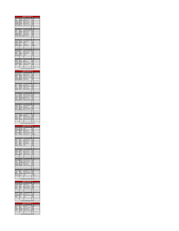|                                                                      |                                  | RIOT QUALIFIER - A                                                        |                   |                                                                              |
|----------------------------------------------------------------------|----------------------------------|---------------------------------------------------------------------------|-------------------|------------------------------------------------------------------------------|
| П<br>Scott                                                           | <b>CHA</b><br>Andrew             | Midweek Cycling                                                           | 117               | <b>b</b> Final Placing                                                       |
| <b>Roberts</b><br>Oleiniczak                                         | Nicholas<br>David                | Edge Cycling<br>Milton Revolution<br>Attack =                             | 115<br>112        | E                                                                            |
| <b>Tompkins</b><br><b>Elliott-Cords Andres</b>                       | Patrick                          | Neworld Cycle Team                                                        | 120<br>136        | $\overline{a}$<br>š                                                          |
|                                                                      |                                  |                                                                           |                   |                                                                              |
| Rorke                                                                | HEA<br>Tyler                     | $\overline{12}$ and $\overline{12}$<br>KW Cycling Academy                 | 116               | į<br>í                                                                       |
| Stein<br>MacEwen                                                     | Dakota<br>Finlay                 | Edge Cycling<br><b>Attack Racing</b>                                      | 118<br>108        | E                                                                            |
| shimann                                                              | Lo                               | Independent                                                               | 102               | 4                                                                            |
| Tremblay                                                             |                                  | Marc-Antoi VO2 Blackb                                                     | 121               | ś                                                                            |
| <b>Contract Contract</b>                                             |                                  | <b>HEATS</b>                                                              |                   | cing<br>- Fin                                                                |
| Mattern<br>Bergeron                                                  | Carson<br>Charles                | Independent<br><b>NCCH</b>                                                | 111<br>101        | j<br>š                                                                       |
| Gabelier<br>MacEwen                                                  | Iris<br>Benen                    | Dynamiks<br>Attack Racing                                                 | 105               | E<br>109 DNS                                                                 |
|                                                                      |                                  |                                                                           |                   |                                                                              |
| Szemeczko                                                            | HEA<br>Evan                      | KW Cycling Academy                                                        | 119               | <b>Final Placing</b><br>1                                                    |
| Valenti<br>Martin                                                    | Luke<br>Nathan                   | Ride with Ryan<br>Independent                                             | 122<br>110        | ĵ<br>ш                                                                       |
| Rauwerda                                                             | Lucas                            | NCCH                                                                      | 113               | 4                                                                            |
|                                                                      | HEA                              | $\cdot$                                                                   |                   |                                                                              |
| Reinke<br>Leonard                                                    | lan<br>Michael                   | NCCH<br>Racer Sportif                                                     | 114<br>107        | ü                                                                            |
| Desgagnes<br>Carter                                                  | Adele<br>Grant                   | Quebecor Stingray<br>Independent                                          | 104<br>103        | į<br>$\ddot{\phantom{0}}$                                                    |
|                                                                      |                                  |                                                                           |                   |                                                                              |
|                                                                      |                                  | *1st rider to 1st final, 2nd to 2nd final et                              |                   |                                                                              |
|                                                                      | HBA                              | <b>NOT QUALI</b><br>FIER - L<br>A.                                        |                   | 3<br>Bib Final Placing                                                       |
| Dempster Cole<br>McAfee                                              | Robbie                           | Midweek Cycling<br>Attack Racing                                          | 134<br>145        | j<br>ä                                                                       |
| Houde<br>Lagointe                                                    | Coralie<br>Maxim                 | Lapraicycle - Desiardin<br>Proco Alma                                     | 140<br>142        | E<br>4                                                                       |
| <b>Badertscher Natasha</b>                                           |                                  | Independent                                                               | 131               | š                                                                            |
| <b>Contract Contract</b>                                             | <b>HEA</b>                       | $\overline{12}$                                                           | r.                | Final Placing                                                                |
| Muys                                                                 | Megan                            | Independent                                                               | 146               | j                                                                            |
| Stel<br>oper                                                         | Jocelyn<br><b>Joshua</b>         | Giant Toronto pb Liv<br>Attack Racing                                     | 150<br>133        | þ<br>E                                                                       |
| Kopchak                                                              | Lewis                            | <b>Startrack Racing</b>                                                   | 141               | $\overline{a}$                                                               |
|                                                                      | HEAT 3                           |                                                                           |                   | al Placing<br>$_{\rm fit}$                                                   |
| Pak<br>Levesque                                                      | Steven<br>Coralie                | <b>Star Track Cycling</b><br>Équipe Québecor Stin                         | 149<br>144        | 1<br>ĵ                                                                       |
| <b>Elivatt</b><br>Watson                                             | Andrew<br>Mackenzie              | Attack Racing<br>Midweek Cycling                                          | 137<br>152        | ä<br>$\overline{\phantom{a}}$                                                |
| Arsenault                                                            | Ariane                           | Ottawa Bicycle Club                                                       | 130               | S                                                                            |
| <b>Contract Contract</b>                                             |                                  | HEAT4                                                                     | Bib               | Final Placing                                                                |
| Ogryzio<br>Cauchon                                                   | Eric<br><b>Britanie</b>          | Cyclepath Oakville<br>MaKadence                                           | 148<br>132        | Í<br>j                                                                       |
| Zouev                                                                | Simon<br>Elliott-Cordi Alejandra | Win Cycling Centre<br>Neworld Cycle Team                                  | 153<br>135        | J.<br>$\overline{a}$                                                         |
|                                                                      |                                  |                                                                           |                   |                                                                              |
| <u> a se</u><br>Jacob                                                | Philippe                         | <b>HEATS</b> Bib Final Placing<br>CNCB BOLT                               | 106               |                                                                              |
| Evans<br>Gabelier                                                    | Jacob<br>Eva                     | Gotham Cyclists<br>Dynamiks de Contreco                                   | 138<br>139        | ü<br>į                                                                       |
| Thomas                                                               | Justine                          | VéloClub Métropolita                                                      | 151               | $\overline{a}$                                                               |
|                                                                      |                                  | *1st rider to 1st final, 2nd to 2nd final etc.                            |                   |                                                                              |
|                                                                      |                                  | CHARIOT QUALIFIER - C<br>HEAT1 Bib Final Placing                          |                   |                                                                              |
| <b>Contract</b><br>Bergeron                                          | Antoine                          | NCCH                                                                      | 157               |                                                                              |
| <b>Hénon-Bove</b><br>Baker                                           | Quentin<br>Coryn                 | Espoirs Laval<br>Attack Racing                                            | 165<br>155        | ü<br>ă                                                                       |
| Zielke-Stray<br>Mann                                                 | Angela<br>Brody                  | KW Cycling Academy<br>Attack Racing                                       | 176               | $\overline{a}$<br>170 DNS                                                    |
|                                                                      |                                  |                                                                           |                   |                                                                              |
| Suchak                                                               | HEAT 2<br>Veer<br>Klara          | Milton Revolution                                                         | 174               | <b>Final Placing</b><br>J                                                    |
| Lylyk<br>Verma                                                       | Kiara                            | Speed River CC<br><b>Divya</b> Edge Cycling<br><b>Dylan</b> Attack Racing | 169<br>187        | $\overline{a}$                                                               |
| Baker<br>Bradbury                                                    | Dylan<br>Sophie                  | ng<br>NCCH                                                                | 156<br>159        | ŗ                                                                            |
|                                                                      |                                  |                                                                           |                   |                                                                              |
| Cheong                                                               | HEA<br>Andrew                    | $\overline{3}$<br>Star Track Cycling                                      | 160               | <b>Final Placid</b>                                                          |
| DePauw<br>Kaake                                                      | Alex<br>Jessica                  | Attack Racing<br>Midweek Cycling                                          | 161               | ü                                                                            |
| Schatzmann Emilie                                                    |                                  | Milton Revolution                                                         | 166<br>173        | į<br>$\overline{a}$                                                          |
|                                                                      | HEA                              | a.                                                                        |                   | <b>Final Placing</b>                                                         |
| Bourbonnai                                                           | William<br>Amanda                | ZVP-Opto Reseau<br>Milton Revolution                                      | 158<br>164        | Î<br>ĵ                                                                       |
|                                                                      |                                  |                                                                           |                   |                                                                              |
| Henke<br>Fangeat                                                     | Alexandra                        | Attack Racing                                                             | 162               |                                                                              |
|                                                                      | Hayden<br>Isabella               | Independent<br>KW Cycling Academy                                         | 175<br>167        |                                                                              |
|                                                                      |                                  |                                                                           |                   |                                                                              |
| Van Daele<br>Katherine                                               | Nora                             | <b><i>CONTRACTS</i></b><br>Attack Racing                                  | 8b<br>168         |                                                                              |
| Goertz<br>Rauwerda                                                   | Lucas<br>Charlotte<br>Jared      | KW Cycling<br>Academy<br>Midweek Cyclina<br>NCCH                          | 163<br>171<br>172 | DNS                                                                          |
|                                                                      |                                  |                                                                           |                   |                                                                              |
|                                                                      |                                  | *1st rider to 1st final, 2nd to 2nd final etc.                            |                   |                                                                              |
|                                                                      |                                  |                                                                           | t                 |                                                                              |
| Linton<br>Nelson<br><b>Contract Contract</b><br>Pattishall<br>Cheong | Reagen<br>Katie                  | <b>CHARIOT QUALIFIE</b><br>Edge Cycling<br>Star<br><b>Track Cycling</b>   | 185<br>180        | 4<br>S<br>Final Placing<br>ł<br>D <b>ournal Placing</b><br>Bib Final Placing |
| Evans<br>McLean                                                      | Gavin<br>Jake                    | Gotham Cyclist                                                            | 182<br>184        | ä<br>į                                                                       |
|                                                                      |                                  | KW Cycling Academy                                                        |                   |                                                                              |
|                                                                      | $-$ HE<br>Sheldon                | $\overline{2}$<br>Speed River CC                                          | 181               | j                                                                            |
|                                                                      | Eziel<br>Sara                    | Star track cycling Nyc<br>NCCH                                            | 183<br>186        | J.<br>į                                                                      |
| Drewitt<br>Hernandez<br>Reinke                                       |                                  |                                                                           |                   |                                                                              |

|         |              | *Top 2 to 1st final, others to 2nd final |                      |  |
|---------|--------------|------------------------------------------|----------------------|--|
|         |              | <b>CHARIOT QUALIFIER - E</b>             |                      |  |
|         | <b>HEAT1</b> | Pit                                      | <b>Final Placing</b> |  |
| Afan    | Kai          | Star Track                               | 190                  |  |
| Goertz  | Sagan        | KW Cycling Academy                       | 194                  |  |
| Fangeat | Thomas       | Attack Racing                            | 192                  |  |
| Franks  | Grayson      | Wheelhouse North Ba                      | 193                  |  |
|         |              |                                          |                      |  |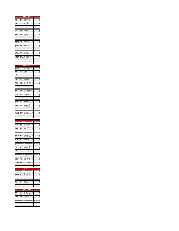|                                          |                                          | <b>CHARIOT FINA</b><br>1st Final                                                                                                                                                                                               |                  | Bib Final Placing                         |
|------------------------------------------|------------------------------------------|--------------------------------------------------------------------------------------------------------------------------------------------------------------------------------------------------------------------------------|------------------|-------------------------------------------|
| Scott<br>Rorke                           | Andrew<br>Tyler                          | Midweek Cycling<br>KW Cycling Academy                                                                                                                                                                                          | 117<br>116       |                                           |
| Szemeczko<br>Mattern                     | Evan<br>Carson                           | KW Cycling Academy<br>Independent                                                                                                                                                                                              | 119<br>111       |                                           |
| Reinke                                   | lan                                      | NCCH                                                                                                                                                                                                                           | 114              |                                           |
|                                          |                                          |                                                                                                                                                                                                                                |                  |                                           |
| Stein                                    | Dakota                                   | .<br>2nd Final<br>Edge Cycling                                                                                                                                                                                                 | Bib<br>118       | <b>Final Placing</b>                      |
| <b>Roberts</b><br>Valenti                | <b>Nicholas</b><br>Luke                  | Edge Cycling<br>Ride with Ryan                                                                                                                                                                                                 | 115<br>122       |                                           |
| Leonard                                  | Michael                                  | Racer Sportif                                                                                                                                                                                                                  | 107              |                                           |
| Bergeron                                 | Charles NCCH                             |                                                                                                                                                                                                                                | <b>101 DNS</b>   |                                           |
|                                          | 3rd F                                    |                                                                                                                                                                                                                                | Bib              | Final Placing                             |
| MacEwen<br>Olejniczak                    | Finlay<br>David                          | Attack Racing<br>Milton Revolution                                                                                                                                                                                             | 108<br>112       |                                           |
| Martin                                   | Nathan                                   | Independent                                                                                                                                                                                                                    | 110              |                                           |
| Desgagnes<br>Gabelier                    | Adele<br>Iris                            | Quebecor Stingray<br><b>Dynamiks</b>                                                                                                                                                                                           | 104<br>105       |                                           |
|                                          |                                          |                                                                                                                                                                                                                                |                  |                                           |
| Carter                                   | Grant                                    | <b>Experience Ath Final</b><br>Independent                                                                                                                                                                                     | Ba<br>103        | m.<br>Final Pla                           |
| <b>Buhlmann</b><br>Tompkins              | Luca<br>Patrick                          | Independent                                                                                                                                                                                                                    | 102<br>120       |                                           |
| Elliott-Corde                            |                                          | Attack Racing<br>Andres Neworld Cycle Team                                                                                                                                                                                     | 136              |                                           |
| Tremblay<br>Rauwerda                     | Marc-Antoi<br>Lucas                      | VO2 Blackburn<br><b>NCCH</b>                                                                                                                                                                                                   | 121<br>113       |                                           |
|                                          |                                          |                                                                                                                                                                                                                                |                  |                                           |
|                                          |                                          |                                                                                                                                                                                                                                |                  |                                           |
| <b>Contract Contract</b>                 | 1stF                                     | <b>HARIOT FINAL</b><br><b>HARIOT FINAL - B</b><br>al Bib Final Placing                                                                                                                                                         |                  |                                           |
| Dempster<br>Ogryzio                      | Cole<br>Eric                             | Midweek Cycling<br>Cyclepath Oakville                                                                                                                                                                                          | 134<br>148       |                                           |
| Jacob<br>Pak                             | Philippe<br>Steven                       | CNCB BOLT<br>Star Track Cycling                                                                                                                                                                                                | 106<br>149       |                                           |
| Muys                                     | Megan                                    | Independent                                                                                                                                                                                                                    | 146              |                                           |
|                                          |                                          |                                                                                                                                                                                                                                |                  |                                           |
| Evans                                    | Jacob                                    | and Final<br>Gotham Cyclists                                                                                                                                                                                                   | <b>Rh</b><br>138 | Final Placing                             |
| AcAfee<br>Levesque                       | Robbie<br>Coralie                        | <b>Attack Racing</b><br>Équipe Québecor Stin                                                                                                                                                                                   | 145<br>144       |                                           |
| Cauchon                                  | <b>Britanie</b>                          | MaKadence                                                                                                                                                                                                                      | 132              |                                           |
| Stel                                     | Jocelyn                                  | Giant Toronto pb Liv                                                                                                                                                                                                           | 150              |                                           |
|                                          |                                          | <b>Excel Final</b>                                                                                                                                                                                                             | Bib              | Final Placing                             |
| Houde                                    | Coralie<br>Simon                         | Lapraicycle - Desjardin<br>Win Cycling Centre                                                                                                                                                                                  | 140<br>153       |                                           |
| Gabelie<br>Cooper                        | Eva<br>Joshua                            | Dynamiks de Contreco<br>Attack Racing                                                                                                                                                                                          | 139<br>133       |                                           |
| Ellyatt                                  | Andrew                                   | Attack Racing                                                                                                                                                                                                                  | 137              |                                           |
|                                          |                                          |                                                                                                                                                                                                                                |                  |                                           |
| Kopchak                                  | Lewis                                    | ath Final Bib<br><b>Startrack Racing</b>                                                                                                                                                                                       | 141              | Final Placing                             |
| Thomas<br>Watson                         | Justine                                  | VéloClub Métropolita                                                                                                                                                                                                           | 151              |                                           |
|                                          |                                          |                                                                                                                                                                                                                                |                  |                                           |
| Lapointe                                 | Maxim                                    | Mackenzie Midweek Cycling<br>Proco Alma                                                                                                                                                                                        | 152<br>142       |                                           |
|                                          |                                          | Elliott-Corde Alejandra Neworld Cycle Team                                                                                                                                                                                     | 135              |                                           |
| <b>Contract Contract</b>                 | 5th F                                    | nal in the company                                                                                                                                                                                                             | B <sub>0</sub>   | Final Placing                             |
| adertscher<br>e<br>Arsenault             | Natasha<br>Ariane                        | b                                                                                                                                                                                                                              | 131              |                                           |
|                                          |                                          | Ottawa Bicycle Club                                                                                                                                                                                                            | 130              |                                           |
|                                          |                                          |                                                                                                                                                                                                                                |                  |                                           |
|                                          |                                          |                                                                                                                                                                                                                                |                  |                                           |
| Suchak                                   | 1stFi<br>Veer                            | <b>CHARIOT FINAL - C</b><br>nal Bib Final Placing<br>Milton Revolution                                                                                                                                                         | 174              |                                           |
| Cheong<br>Bourbonnai                     | Andrew<br>William                        | Star Track Cycling<br>ZVP<br>Opto Reseau                                                                                                                                                                                       | 160<br>158       |                                           |
| Linton                                   | Nora<br>Antoine                          | <b>Attack Racing</b><br>NCCH                                                                                                                                                                                                   | 168<br>157       |                                           |
| Bergeron                                 |                                          |                                                                                                                                                                                                                                |                  |                                           |
|                                          |                                          |                                                                                                                                                                                                                                |                  |                                           |
| Lylyk Kiara<br>Hénon-Boye                | Quentin                                  | Speed River CC<br>Espoirs Laval                                                                                                                                                                                                | 169<br>165       |                                           |
| Goertz<br>Henke                          | cas<br>Amanda                            | KW Cyc<br>ng Academy<br>Milton Revolution                                                                                                                                                                                      | 163<br>164       |                                           |
| DePauw                                   | Alex                                     | Attack Racing                                                                                                                                                                                                                  | 161              |                                           |
|                                          |                                          |                                                                                                                                                                                                                                |                  |                                           |
| Verma                                    | 3rd F<br>Divya                           | Edge Cycling                                                                                                                                                                                                                   | 187              | <b>Final Placing</b>                      |
| Nelson<br>Kaake                          | Jessica                                  | Charlotte Midweek Cycling<br>Midweek Cycling                                                                                                                                                                                   | 171<br>166       |                                           |
| Baker<br>Fangeat                         | Coryn<br>Alexandra                       | Attack Racing<br>Attack Racing                                                                                                                                                                                                 | 155<br>162       |                                           |
|                                          |                                          |                                                                                                                                                                                                                                |                  |                                           |
|                                          | 4th F                                    | Attack Racing                                                                                                                                                                                                                  | 156              |                                           |
| Baker Dylan<br>Bradbury                  | Sophie                                   | NCCH                                                                                                                                                                                                                           | 159              |                                           |
| <b>Schatzmann Emilie</b><br>Zielke-Stray | Angela                                   | Milton Revolution<br>KW Cycling Academy                                                                                                                                                                                        | 173<br>176       |                                           |
| Van Daele<br>Katherine                   | Hayden<br>Isabella                       | Independent<br>KW Cycling Academy                                                                                                                                                                                              | 175<br>167       |                                           |
|                                          |                                          |                                                                                                                                                                                                                                |                  | Final Placing                             |
|                                          |                                          |                                                                                                                                                                                                                                |                  |                                           |
| <b>Contract</b>                          | 1stF                                     | <b>CHARIOT FINAL - D</b><br>Final Placing                                                                                                                                                                                      |                  |                                           |
| Pattishall<br>Drewitt                    | Reagen<br>Sheldon                        | Edge Cycling<br>Speed River CC                                                                                                                                                                                                 | 185<br>181       |                                           |
| Hernandez<br>Cheong                      | Eziel                                    | Star track cycling Nyc                                                                                                                                                                                                         | 183              |                                           |
|                                          | Katie                                    | <b>Star Track Cycling</b>                                                                                                                                                                                                      | 180              |                                           |
|                                          | 2ndF                                     | anal and the second service of the series of the series of the series of the series of the series of the series of the series of the series of the series of the series of the series of the series of the series of the serie | Bib              |                                           |
| Reinke<br>Evans                          | Sara<br>Gavin                            | NCCH<br>Gotham Cyclists                                                                                                                                                                                                        | 186<br>182       |                                           |
| McLean                                   | Jake                                     | KW Cycling Academy                                                                                                                                                                                                             | 184              |                                           |
|                                          |                                          |                                                                                                                                                                                                                                |                  |                                           |
|                                          |                                          | ARIOT FINAL - I                                                                                                                                                                                                                |                  |                                           |
| <u>a ma</u><br>Afan<br>Goertz            | <b>CHAI</b><br>Ist Final<br>Kai<br>Sagan | Star Track<br>KW Cycling Academy                                                                                                                                                                                               | 190<br>194       | Final Placing<br><b>Bib</b> Final Placing |

| ooeru   | i Sancairi    | <b>AVEC YOUR MORNING 1 129</b> |     |                      |
|---------|---------------|--------------------------------|-----|----------------------|
| Franks  | Grayson       | Wheelhouse North Ba 193        |     |                      |
| Fangeat | <b>Thomas</b> | Attack Racing                  | 192 |                      |
|         |               |                                |     |                      |
|         |               |                                |     |                      |
|         |               | 2nd Final                      | Rih | <b>Final Placing</b> |
|         |               |                                |     |                      |
|         |               |                                |     |                      |
|         |               |                                |     |                      |
|         |               |                                |     |                      |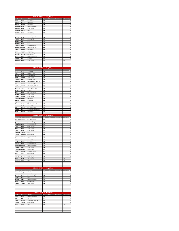|                                            |                           |                                                          |               | <b>SCRATCH RACE - A - 6km/24laps</b> |                     |                                                       |
|--------------------------------------------|---------------------------|----------------------------------------------------------|---------------|--------------------------------------|---------------------|-------------------------------------------------------|
| Last Name                                  | <b>First Name</b>         | <b>Affiliates</b>                                        | Bib           | LAPS $+/-$                           | <b>Finish Order</b> | <b>Final Placing</b>                                  |
| Carter                                     | Grant                     | Independent                                              | 103           |                                      |                     | $\overline{a}$                                        |
| <b>Roberts</b><br>Mattern                  | <b>Nicholas</b><br>Carson | <b>Edge Cycling</b><br>Independent                       | 115<br>111    |                                      |                     | 3                                                     |
| Szemeczko                                  | Evan                      | <b>KW Cycling Academy</b>                                | 119           |                                      |                     | 4                                                     |
| MacEwen                                    | Finlay                    | <b>Attack Racing</b>                                     | 108           |                                      |                     | 5                                                     |
| <b>Bergeron</b>                            | Charles                   | <b>NCCH</b>                                              | 101           |                                      |                     | 6                                                     |
| <b>Buhlmann</b>                            | Luca                      | Independent                                              | 102           |                                      |                     | 7                                                     |
| Leonard                                    | Michael                   | Racer Sportif                                            | 107           |                                      |                     | 8                                                     |
| Scott<br><b>Tompkins</b>                   | Andrew<br>Patrick         | Midweek Cycling<br><b>Attack Racing</b>                  | 117<br>120    |                                      |                     | 9<br>10                                               |
| Valenti                                    | Luke                      | Ride with Ryan                                           | 122           |                                      |                     | 11                                                    |
| Reinke                                     | lan                       | <b>NCCH</b>                                              | 114           |                                      |                     | 12                                                    |
| Rauwerda                                   | Lucas                     | <b>NCCH</b>                                              | 113           |                                      |                     | 13                                                    |
| Olejniczak                                 | David                     | Milton Revolution                                        | 112           |                                      |                     | 14                                                    |
| Elliott-Cordo                              | Andres                    | Neworld Cycle Team                                       | 136           |                                      |                     | 15                                                    |
| Martin<br>Stein                            | Nathan<br>Dakota          | Independent<br><b>Edge Cycling</b>                       | 110<br>118    |                                      |                     | 16<br>17                                              |
| Desgagnes                                  | Adele                     | Quebecor Stingray                                        | 104           |                                      |                     | 18                                                    |
| <b>Tremblay</b>                            | Marc-Antoir               | VO2 Blackburn                                            | 121           |                                      |                     | 19                                                    |
| Rorke                                      | Tyler                     | <b>KW Cycling Academy</b>                                | 116           |                                      |                     | 20                                                    |
| Gabelier                                   | Iris                      | Dynamiks                                                 | 105           |                                      |                     | $^{21}$                                               |
| MacEwen                                    | Benen                     | <b>Attack Racing</b>                                     | 109           |                                      |                     | <b>DNS</b>                                            |
|                                            |                           |                                                          |               |                                      |                     |                                                       |
|                                            |                           |                                                          |               |                                      |                     |                                                       |
|                                            |                           | <b>SCRATCH RACE</b>                                      |               | - B - 5km/20laps                     |                     |                                                       |
| Last Name                                  | First Name Affiliates     |                                                          | Bib           | LAPS $+/-$                           | <b>Finish Order</b> | <b>Final Placing</b>                                  |
| Jacob                                      | Philippe                  | CNCB BOLT                                                | 106           |                                      |                     | $\mathbf{1}$                                          |
| Evans                                      | Jacob                     | <b>Gotham Cyclists</b>                                   | 138           |                                      |                     | $\overline{\mathbf{c}}$                               |
| Kopchak                                    | Lewis                     | <b>Startrack Racing</b>                                  | 141           |                                      |                     | 3                                                     |
| Ellyatt<br>Dempster                        | Andrew<br>Cole            | <b>Attack Racing</b>                                     | 137<br>134    |                                      |                     | 4<br>5                                                |
| Levesque                                   | Coralie                   | Midweek Cycling<br>Équipe Québecor Stingray              | 144           |                                      |                     | 6                                                     |
| Stel                                       | Jocelyn                   | Giant Toronto pb Liv                                     | 150           |                                      |                     | 7                                                     |
| Houde                                      | Coralie                   | Lapraicycle - Desjardins                                 | 140           |                                      |                     | 8                                                     |
| <b>Elliott-Cordo</b>                       | Alejandra                 | Neworld Cycle Team                                       | 135           |                                      |                     | 9                                                     |
| <b>Arsenault</b>                           | Ariane                    | Ottawa Bicycle Club                                      | 130           |                                      |                     | 10                                                    |
| Cauchon                                    | <b>Britanie</b>           | MaKadence                                                | 132           |                                      |                     | 11                                                    |
| Zouev                                      | Simon                     | Win Cycling Centre                                       | 153           |                                      |                     | 12                                                    |
| <b>McAfee</b><br>Cooper                    | <b>Robbie</b><br>Joshua   | <b>Attack Racing</b><br><b>Attack Racing</b>             | 145<br>133    |                                      |                     | 13<br>14                                              |
| <b>Badertscher</b>                         | Natasha                   | Independent                                              | 131           |                                      |                     | 15                                                    |
| Lapointe                                   | Maxim                     | Proco Alma                                               | 142           |                                      |                     | 16                                                    |
| Ogryzlo                                    | Eric                      | Cyclepath Oakville                                       | 148           |                                      |                     | 17                                                    |
| <b>Thomas</b>                              | Justine                   | VéloClub Métropolitain                                   | 151           |                                      |                     | 18                                                    |
| Watson                                     | Mackenzie                 | Midweek Cycling                                          | 152           |                                      |                     | 19                                                    |
| Pak<br>Gabelier                            | Steven<br>Eva             | <b>Star Track Cycling</b><br>Dynamiks de Contrecoeur     | 149<br>139    |                                      |                     | 20<br>21                                              |
| Muys                                       | Megan                     | Independent                                              | 146           |                                      |                     | 22                                                    |
|                                            |                           |                                                          |               |                                      |                     |                                                       |
|                                            |                           | <b>SCRATCH RACE</b>                                      | $-$ C $\cdot$ | 4km/16laps                           |                     |                                                       |
|                                            |                           | <b>Affiliates</b>                                        |               |                                      |                     | <b>Final Placing</b>                                  |
| Last Name                                  | <b>First Name</b>         |                                                          | <b>Bib</b>    | LAPS $+/-$                           | <b>Finish Order</b> |                                                       |
| Bourbonnais                                | William                   | ZVP-Opto Reseau                                          | 158           |                                      |                     |                                                       |
| Goertz                                     | Lucas                     | <b>KW Cycling Academy</b>                                | 163           |                                      |                     |                                                       |
| Cheong                                     | Andrew                    | <b>Star Track Cycling</b>                                | 160           |                                      |                     |                                                       |
| Schatzmann<br>Lylyk                        | Emilie<br>Kiara           | Milton Revolution<br>Speed River CC                      | 173<br>169    |                                      |                     |                                                       |
|                                            | Dylan                     | <b>Attack Racing</b>                                     | 156           |                                      |                     |                                                       |
| Linton                                     | Nora                      | <b>Attack Racing</b>                                     | 168           |                                      |                     | $\mathbf{1}$<br>$\overline{a}$<br>4<br>5              |
|                                            | Sophie                    | <b>NCCH</b>                                              | 159           |                                      |                     |                                                       |
|                                            | Alexandra                 | <b>Attack Racing</b>                                     | 162           |                                      |                     | $\overline{9}$                                        |
| Kaake                                      | Jessica                   | Midweek Cycling                                          | 166           |                                      |                     | 10                                                    |
| Bergeron<br>Nelson                         | Antoine<br>Charlotte      | <b>NCCH</b><br>Midweek Cycling                           | 157<br>171    |                                      |                     | 11<br>12                                              |
| Van Daele                                  | Hayden                    | Independent                                              | 175           |                                      |                     | 13                                                    |
| Baker<br>Bradbury<br>Fangeat<br>Suchak     | Veer                      | Milton Revolution                                        | 174           |                                      |                     | 14                                                    |
|                                            | Angela                    | <b>KW Cycling Academy</b>                                | 176           |                                      |                     |                                                       |
|                                            | Alex                      | <b>Attack Racing</b>                                     | 161           |                                      |                     |                                                       |
| Hénon-Boye<br>Henke                        | Quentin                   | <b>Espoirs Laval</b>                                     | 165           |                                      |                     | 17                                                    |
|                                            | Amanda<br>Coryn           | Milton Revolution<br><b>Attack Racing</b>                | 164<br>155    |                                      |                     |                                                       |
| Verma                                      | Divya                     | <b>Edge Cycling</b>                                      | 187           |                                      |                     |                                                       |
| <b>DePauw</b><br>Baker<br>Katherine        | Isabella                  | KW Cycling Academy                                       | 167           |                                      |                     | $_{21}$                                               |
| Mann                                       | Brody                     | <b>Attack Racing</b>                                     | 170           |                                      |                     | 3<br>6<br>7<br>8<br>15<br>16<br>18<br>19<br>20<br>DNS |
| Rauwerda                                   | Jared                     | <b>NCCH</b>                                              | 172           |                                      |                     | DNS                                                   |
|                                            |                           |                                                          |               |                                      |                     |                                                       |
|                                            |                           |                                                          |               |                                      |                     |                                                       |
|                                            |                           | <b>SCRATCH RACE - D - 3km/12laps</b>                     |               |                                      |                     |                                                       |
|                                            | <b>First Name</b>         | <b>Affiliates</b>                                        | <b>Bib</b>    | LAPS $+/-$                           | <b>Finish Order</b> | <b>Final Placing</b>                                  |
| Pattishall                                 | Reagen                    | <b>Edge Cycling</b>                                      | 185           |                                      |                     |                                                       |
| Hernandez                                  | Eziel                     | <b>Star track cycling Nyd</b>                            | 183           |                                      |                     | $\overline{a}$                                        |
|                                            | Katie                     | <b>Star Track Cycling</b>                                | 180           |                                      |                     |                                                       |
| Reinke<br>McLean                           | Sara<br>Jake              | <b>NCCH</b><br><b>KW Cycling Academy</b>                 | 186<br>184    |                                      |                     |                                                       |
|                                            | Gavin                     | <b>Gotham Cyclists</b>                                   | 182           |                                      |                     |                                                       |
| Cheong<br>Evans<br>Drewitt                 | Sheldon                   | Speed River CC                                           | 181           |                                      |                     | $\overline{7}$                                        |
|                                            |                           |                                                          |               |                                      |                     |                                                       |
|                                            |                           |                                                          |               |                                      |                     |                                                       |
|                                            |                           |                                                          |               |                                      |                     |                                                       |
|                                            |                           |                                                          |               |                                      |                     |                                                       |
|                                            | <b>First Name</b>         | <b>SCRATCH RACE - 3 - 2km/8laps</b><br><b>Affiliates</b> | <b>Bib</b>    | LAPS $+/-$                           | <b>Finish Order</b> | <b>Final Placing</b>                                  |
| <b>Last Name</b><br>Goertz                 | Sagan                     | KW Cycling Academy                                       | 194           |                                      |                     |                                                       |
| Afan                                       | Kai                       | <b>Star Track</b>                                        | 190           |                                      |                     |                                                       |
| Zielke-Stray<br><b>Last Name</b><br>Franks | Grayson                   | <b>Wheelhouse North Bay</b>                              | 193           |                                      |                     | 3<br>$\ddot{\phantom{a}}$<br>5<br>6<br>1<br>2<br>3    |
| Fangeat                                    | Thomas                    | <b>Attack Racing</b>                                     | 192           |                                      |                     | 4                                                     |
| <b>Burke</b>                               | Rohan                     | <b>NCCH</b>                                              | 191           |                                      |                     | <b>DNS</b>                                            |
|                                            |                           |                                                          |               |                                      |                     |                                                       |
|                                            |                           |                                                          |               |                                      |                     |                                                       |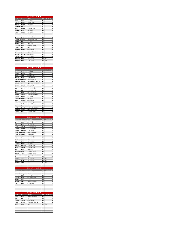|                                   |                            | <b>ELIMINATION RACE - A</b>                        |            |                                 |
|-----------------------------------|----------------------------|----------------------------------------------------|------------|---------------------------------|
| <b>Last Name</b><br>Carter        | <b>First Name</b><br>Grant | <b>Affiliates</b>                                  | Bib<br>103 | <b>Final Placing</b><br>ï       |
| Leonard                           | Michael                    | Independent<br><b>Racer Sportif</b>                | 107        | $\overline{\mathbf{c}}$         |
| Mattern                           | Carson                     | Independent                                        | 111        | 3                               |
| <b>Bergeron</b>                   | <b>Charles</b>             | NCCH                                               | 101        | 4                               |
| Scott                             | Andrew                     | Midweek Cycling                                    | 117        | s<br>6                          |
| <b>Buhlmann</b><br>Martin         | Luca<br>Nathan             | Independent<br>Independent                         | 102<br>110 | 7                               |
| Stein                             | Dakota                     | <b>Edge Cycling</b>                                | 118        | 8                               |
| Szemeczko                         | Evan                       | <b>KW Cycling Academy</b>                          | 119        | 9                               |
| Olejniczak                        | David<br>Andres            | <b>Milton Revolution</b>                           | 112<br>136 | 10<br>11                        |
| <b>Elliott-Cordo</b><br>Gabelier  | Iris                       | Neworld Cycle Team<br>Dynamiks                     | 105        | 12                              |
| <b>Roberts</b>                    | Nicholas                   | <b>Edge Cycling</b>                                | 115        | 13                              |
| Desgagnes                         | Adele                      | Quebecor Stingray                                  | 104        | 14                              |
| Reinke<br><b>Tompkins</b>         | lan<br>Patrick             | <b>NCCH</b>                                        | 114<br>120 | 15<br>16                        |
| Rorke                             | Tyler                      | <b>Attack Racing</b><br><b>KW Cycling Academy</b>  | 116        | 17                              |
| Rauwerda                          | Lucas                      | <b>NCCH</b>                                        | 113        | 18                              |
| <b>Tremblay</b>                   |                            | Marc-Antoir VO2 Blackburn                          | 121        | 19                              |
| Valenti<br>MacEwen                | Luke<br>Finlay             | Ride with Ryan<br><b>Attack Racing</b>             | 122<br>108 | 20<br>DNS                       |
| MacEwen                           | Benen                      | <b>Attack Racing</b>                               | 109 DNS    |                                 |
|                                   |                            |                                                    |            |                                 |
|                                   |                            |                                                    |            |                                 |
|                                   |                            | <b>ELIMINATION RACE - B</b>                        |            |                                 |
| Last Name                         | <b>First Name</b>          | <b>Affiliates</b>                                  | Bib        |                                 |
| Jacob                             | Philippe                   | <b>CNCB BOLT</b>                                   | 106        | $\mathbf{1}$                    |
| Cauchon                           | <b>Britanie</b>            | MaKadence                                          | 132        | $\overline{a}$                  |
| Evans<br>Kopchak                  | Jacob<br>Lewis             | <b>Gotham Cyclists</b><br><b>Startrack Racing</b>  | 138<br>141 | 3<br>4                          |
| <b>Elliott-Cordo</b>              | Alejandra                  | Neworld Cycle Team                                 | 135        | 5                               |
| Levesque                          | Coralie                    | Équipe Québecor Stingray                           | 144        | 6                               |
| Gabelier                          | Eva                        | Dynamiks de Contrecoeur                            | 139        | $\overline{1}$                  |
| Cooper                            | Joshua                     | Attack Racing                                      | 133        | 8<br>9                          |
| Stel<br>Pak                       | Jocelyn<br>Steven          | Giant Toronto pb Liv<br><b>Star Track Cycling</b>  | 150<br>149 | 10                              |
| Ogryzlo                           | Eric                       | Cyclepath Oakville                                 | 148        | $\overline{11}$                 |
| Zouev                             | Simon                      | Win Cycling Centre                                 | 153        | 12                              |
| Thomas                            | Justine                    | VéloClub Métropolitain                             | 151        | 13                              |
| Lapointe<br>Badertscher           | Maxim<br>Natasha           | Proco Alma<br>Independent                          | 142<br>131 | 14<br>15                        |
| Ellyatt                           | Andrew                     | <b>Attack Racing</b>                               | 137        | 16                              |
| <b>McAfee</b>                     | <b>Robbie</b>              | <b>Attack Racing</b>                               | 145        | 17                              |
| Watson                            | Mackenzie                  | Midweek Cycling                                    | 152        | 18                              |
| Muys                              | Megan                      | Independent                                        | 146<br>140 | 19<br>20                        |
| Houde<br><b>Arsenault</b>         | Coralie<br>Ariane          | Lapraicycle - Desjardins<br>Ottawa Bicycle Club    | 130        | $^{21}$                         |
| Dempster                          | Cole                       | Midweek Cycling                                    | 134        | 22                              |
|                                   |                            |                                                    |            |                                 |
|                                   |                            |                                                    |            |                                 |
|                                   |                            |                                                    |            |                                 |
|                                   |                            | <b>ELIMINATION RACE - C</b>                        |            | <b>Final Placing</b>            |
| Last Name<br>Goertz               | Lucas                      | First Name Affiliates<br><b>KW Cycling Academy</b> | Bib<br>163 | $\overline{1}$                  |
| <b>Bourbonnai</b>                 | William                    | ZVP-Opto Reseau                                    | 158        | 2                               |
| Baker                             | Dylan                      | <b>Attack Racing</b>                               | 156        | 3                               |
| Henke                             | Amanda                     | Milton Revolution                                  | 164        | 4                               |
| Cheong<br>Fangeat                 | Andrew<br>Alexandra        | <b>Star Track Cycling</b><br><b>Attack Racing</b>  | 160<br>162 | 5<br>6                          |
| Zielke-Stray                      | Angela                     | <b>KW Cycling Academy</b>                          | 176        | 7                               |
| Hénon-Boye                        | Quentin                    | <b>Espoirs Laval</b>                               | 165        | 8                               |
| Linton                            | Nora                       | <b>Attack Racing</b>                               | 168<br>169 | 9                               |
| Lylyk<br>Bradbury                 | Kiara<br>Sophie            | Speed River CC<br><b>NCCH</b>                      | 159        | 10<br>11                        |
| <b>Baker</b>                      | Coryn                      | <b>Attack Racing</b>                               | 155        | 12                              |
| Van Daele                         | Hayden                     | Independent                                        | 175        | 13                              |
| Nelson                            | Charlotte                  | Midweek Cycling                                    | 171<br>166 | 14                              |
| Kaake                             | Jessica<br>Divya           | Midweek Cycling<br><b>Edge Cycling</b>             | 187        | 15<br>16                        |
| Verma<br><b>Schatzmann Emilie</b> |                            | Milton Revolution                                  | 173        | 17                              |
| Suchak                            | Veer                       | Milton Revolution                                  | 174        | 18                              |
| Katherine                         | Isabella                   | <b>KW Cycling Academy</b><br><b>NCCH</b>           | 167<br>157 | 19                              |
| Bergeron<br>DePauw                | Antoine<br>Alex            | <b>Attack Racing</b>                               |            | 20<br>161 DNS                   |
| Mann                              | <b>Brody</b>               | <b>Attack Racing</b>                               |            | <b>170 DNS</b>                  |
| Rauwerda                          | Jared                      | <b>NCCH</b>                                        | 172 DNS    |                                 |
|                                   |                            |                                                    |            |                                 |
|                                   |                            | <b>ELIMINATION RACE - D</b>                        |            |                                 |
| Last Name                         | <b>First Name</b>          | Affiliates                                         |            | <b>Bib</b> Final Placing        |
| Drewitt                           | Sheldon                    | Speed River CC                                     | 181        | 1                               |
| Pattishall<br>Hernandez           | Reagen<br>Eziel            | <b>Edge Cycling</b><br>Star track cycling Nyc      | 185<br>183 | $\overline{\mathbf{c}}$<br>3    |
| Cheong                            | Katie                      | <b>Star Track Cycling</b>                          | 180        | $\ddot{\phantom{a}}$            |
| Reinke                            | Sara                       | <b>NCCH</b>                                        | 186        | 5                               |
| McLean                            | Jake                       | <b>KW Cycling Academy</b>                          | 184        | 6                               |
| Evans                             | Gavin                      | <b>Gotham Cyclists</b>                             | 182        | 7                               |
|                                   |                            |                                                    |            |                                 |
|                                   |                            |                                                    |            |                                 |
|                                   |                            |                                                    |            |                                 |
|                                   | <b>First Name</b>          | <b>ELIMINATION RACE - E</b>                        | Bib        |                                 |
| Last Name<br>Goertz               | Sagan                      | Affiliates<br>KW Cycling Academy                   | 194        | Final Placing<br>$\overline{1}$ |
| Afan                              | Kai                        | <b>Star Track</b>                                  | 190        | 2                               |
| Fangeat                           | Thomas                     | <b>Attack Racing</b>                               | 192        | 3                               |
| Franks                            | Grayson                    | Wheelhouse North Bay                               | 193        | $\overline{\mathbf{4}}$         |
| <b>Burke</b>                      | Rohan                      | <b>NCCH</b>                                        |            | 191 DNS                         |
|                                   |                            |                                                    |            |                                 |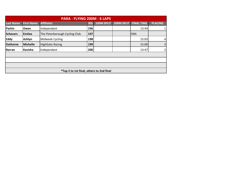|                  | PARA - FLYING 200M - 6 LAPS |                                                 |            |            |            |                   |                |  |  |  |  |  |  |
|------------------|-----------------------------|-------------------------------------------------|------------|------------|------------|-------------------|----------------|--|--|--|--|--|--|
| <b>Last Name</b> | <b>First Name</b>           | <b>Affiliates</b>                               | <b>Bib</b> | 100M SPLIT | 200M SPLIT | <b>FINAL TIME</b> | <b>PLACING</b> |  |  |  |  |  |  |
| Parkin           | <b>Owen</b>                 | Independant                                     | 196        |            |            | 13:44             | 1              |  |  |  |  |  |  |
| <b>Schevers</b>  | <b>Emilee</b>               | The Peterborough Cycling Club                   | 197        |            |            | <b>DNS</b>        |                |  |  |  |  |  |  |
| <b>Eddy</b>      | Ashlyn                      | Midweek Cycling                                 | 198        |            |            | 15:03             | $\overline{a}$ |  |  |  |  |  |  |
| <b>Dathorne</b>  | <b>Michelle</b>             | <b>HighGate Racing</b>                          | 199        |            |            | 15:00             | $\overline{3}$ |  |  |  |  |  |  |
| <b>Barran</b>    | Kavisha                     | Independant                                     | 200        |            |            | 13:47             | $\overline{2}$ |  |  |  |  |  |  |
|                  |                             |                                                 |            |            |            |                   |                |  |  |  |  |  |  |
|                  |                             |                                                 |            |            |            |                   |                |  |  |  |  |  |  |
|                  |                             |                                                 |            |            |            |                   |                |  |  |  |  |  |  |
|                  |                             | <i>*Top 2 to 1st final, others to 2nd final</i> |            |            |            |                   |                |  |  |  |  |  |  |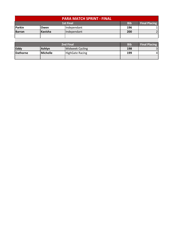| <b>PARA MATCH SPRINT - FINAL</b> |                |                      |     |  |  |  |  |  |  |
|----------------------------------|----------------|----------------------|-----|--|--|--|--|--|--|
|                                  | <b>Bib</b>     | <b>Final Placing</b> |     |  |  |  |  |  |  |
| Parkin                           | <b>Owen</b>    | Independant          | 196 |  |  |  |  |  |  |
| <b>Barran</b>                    | <b>Kavisha</b> | Independant          | 200 |  |  |  |  |  |  |
|                                  |                |                      |     |  |  |  |  |  |  |

|                 | <b>Bib</b>    | <b>Final Placing</b>   |     |   |
|-----------------|---------------|------------------------|-----|---|
| Eddy            | <b>Ashlyn</b> | Midweek Cycling        | 198 |   |
| <b>Dathorne</b> | Michelle      | <b>HighGate Racing</b> | 199 | 4 |
|                 |               |                        |     |   |